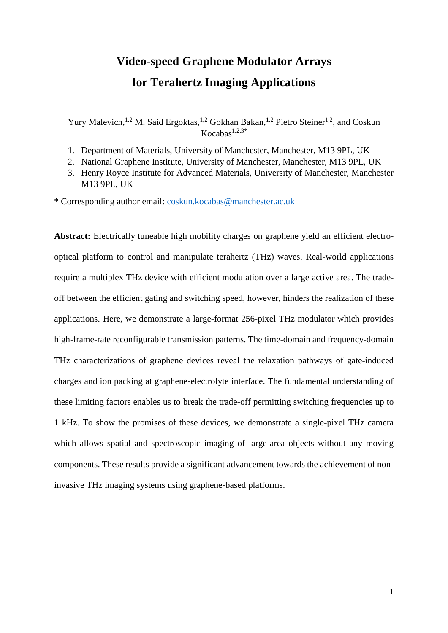## **Video-speed Graphene Modulator Arrays for Terahertz Imaging Applications**

Yury Malevich,<sup>1,2</sup> M. Said Ergoktas,<sup>1,2</sup> Gokhan Bakan,<sup>1,2</sup> Pietro Steiner<sup>1,2</sup>, and Coskun  $Kocahas<sup>1,2,3*</sup>$ 

- 1. Department of Materials, University of Manchester, Manchester, M13 9PL, UK
- 2. National Graphene Institute, University of Manchester, Manchester, M13 9PL, UK
- 3. Henry Royce Institute for Advanced Materials, University of Manchester, Manchester M13 9PL, UK

\* Corresponding author email: [coskun.kocabas@manchester.ac.uk](mailto:coskun.kocabas@manchester.ac.uk)

Abstract: Electrically tuneable high mobility charges on graphene yield an efficient electrooptical platform to control and manipulate terahertz (THz) waves. Real-world applications require a multiplex THz device with efficient modulation over a large active area. The tradeoff between the efficient gating and switching speed, however, hinders the realization of these applications. Here, we demonstrate a large-format 256-pixel THz modulator which provides high-frame-rate reconfigurable transmission patterns. The time-domain and frequency-domain THz characterizations of graphene devices reveal the relaxation pathways of gate-induced charges and ion packing at graphene-electrolyte interface. The fundamental understanding of these limiting factors enables us to break the trade-off permitting switching frequencies up to 1 kHz. To show the promises of these devices, we demonstrate a single-pixel THz camera which allows spatial and spectroscopic imaging of large-area objects without any moving components. These results provide a significant advancement towards the achievement of noninvasive THz imaging systems using graphene-based platforms.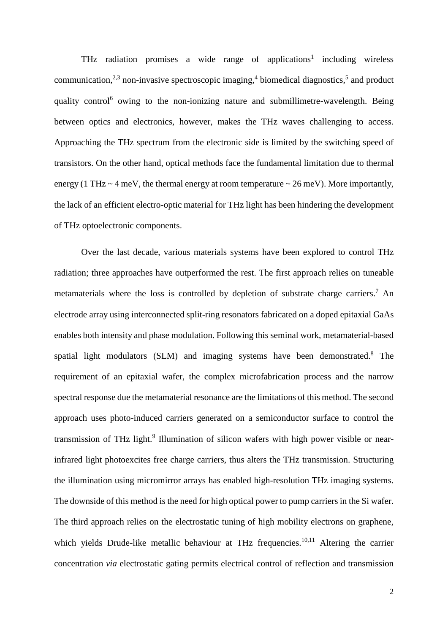THz radiation promises a wide range of applications<sup>1</sup> including wireless communication,<sup>2,3</sup> non-invasive spectroscopic imaging,<sup>4</sup> biomedical diagnostics,<sup>5</sup> and product quality control<sup>6</sup> owing to the non-ionizing nature and submillimetre-wavelength. Being between optics and electronics, however, makes the THz waves challenging to access. Approaching the THz spectrum from the electronic side is limited by the switching speed of transistors. On the other hand, optical methods face the fundamental limitation due to thermal energy (1 THz  $\sim$  4 meV, the thermal energy at room temperature  $\sim$  26 meV). More importantly, the lack of an efficient electro-optic material for THz light has been hindering the development of THz optoelectronic components.

Over the last decade, various materials systems have been explored to control THz radiation; three approaches have outperformed the rest. The first approach relies on tuneable metamaterials where the loss is controlled by depletion of substrate charge carriers. <sup>7</sup> An electrode array using interconnected split-ring resonators fabricated on a doped epitaxial GaAs enables both intensity and phase modulation. Following this seminal work, metamaterial-based spatial light modulators (SLM) and imaging systems have been demonstrated. <sup>8</sup> The requirement of an epitaxial wafer, the complex microfabrication process and the narrow spectral response due the metamaterial resonance are the limitations of this method. The second approach uses photo-induced carriers generated on a semiconductor surface to control the transmission of THz light.<sup>9</sup> Illumination of silicon wafers with high power visible or nearinfrared light photoexcites free charge carriers, thus alters the THz transmission. Structuring the illumination using micromirror arrays has enabled high-resolution THz imaging systems. The downside of this method is the need for high optical power to pump carriers in the Si wafer. The third approach relies on the electrostatic tuning of high mobility electrons on graphene, which yields Drude-like metallic behaviour at THz frequencies.<sup>10,11</sup> Altering the carrier concentration *via* electrostatic gating permits electrical control of reflection and transmission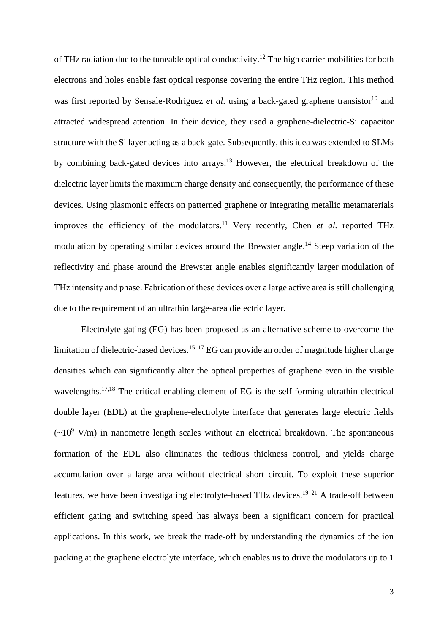of THz radiation due to the tuneable optical conductivity.<sup>12</sup> The high carrier mobilities for both electrons and holes enable fast optical response covering the entire THz region. This method was first reported by Sensale-Rodriguez *et al.* using a back-gated graphene transistor<sup>10</sup> and attracted widespread attention. In their device, they used a graphene-dielectric-Si capacitor structure with the Si layer acting as a back-gate. Subsequently, this idea was extended to SLMs by combining back-gated devices into arrays. <sup>13</sup> However, the electrical breakdown of the dielectric layer limits the maximum charge density and consequently, the performance of these devices. Using plasmonic effects on patterned graphene or integrating metallic metamaterials improves the efficiency of the modulators.<sup>11</sup> Very recently, Chen *et al.* reported THz modulation by operating similar devices around the Brewster angle.<sup>14</sup> Steep variation of the reflectivity and phase around the Brewster angle enables significantly larger modulation of THz intensity and phase. Fabrication of these devices over a large active area is still challenging due to the requirement of an ultrathin large-area dielectric layer.

Electrolyte gating (EG) has been proposed as an alternative scheme to overcome the limitation of dielectric-based devices.<sup>15-17</sup> EG can provide an order of magnitude higher charge densities which can significantly alter the optical properties of graphene even in the visible wavelengths.<sup>17,18</sup> The critical enabling element of EG is the self-forming ultrathin electrical double layer (EDL) at the graphene-electrolyte interface that generates large electric fields  $({\sim}10^9 \text{ V/m})$  in nanometre length scales without an electrical breakdown. The spontaneous formation of the EDL also eliminates the tedious thickness control, and yields charge accumulation over a large area without electrical short circuit. To exploit these superior features, we have been investigating electrolyte-based THz devices.<sup>19–21</sup> A trade-off between efficient gating and switching speed has always been a significant concern for practical applications. In this work, we break the trade-off by understanding the dynamics of the ion packing at the graphene electrolyte interface, which enables us to drive the modulators up to 1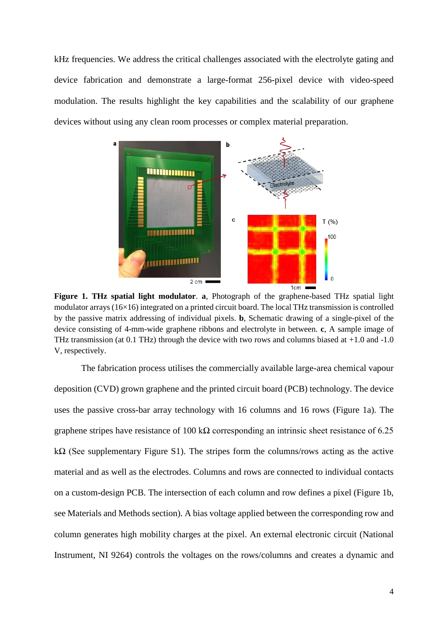kHz frequencies. We address the critical challenges associated with the electrolyte gating and device fabrication and demonstrate a large-format 256-pixel device with video-speed modulation. The results highlight the key capabilities and the scalability of our graphene devices without using any clean room processes or complex material preparation.



**Figure 1. THz spatial light modulator**. **a**, Photograph of the graphene-based THz spatial light modulator arrays (16×16) integrated on a printed circuit board. The local THz transmission is controlled by the passive matrix addressing of individual pixels. **b**, Schematic drawing of a single-pixel of the device consisting of 4-mm-wide graphene ribbons and electrolyte in between. **c**, A sample image of THz transmission (at 0.1 THz) through the device with two rows and columns biased at +1.0 and -1.0 V, respectively.

The fabrication process utilises the commercially available large-area chemical vapour deposition (CVD) grown graphene and the printed circuit board (PCB) technology. The device uses the passive cross-bar array technology with 16 columns and 16 rows (Figure 1a). The graphene stripes have resistance of 100 k $\Omega$  corresponding an intrinsic sheet resistance of 6.25 kΩ (See supplementary Figure S1). The stripes form the columns/rows acting as the active material and as well as the electrodes. Columns and rows are connected to individual contacts on a custom-design PCB. The intersection of each column and row defines a pixel (Figure 1b, see Materials and Methods section). A bias voltage applied between the corresponding row and column generates high mobility charges at the pixel. An external electronic circuit (National Instrument, NI 9264) controls the voltages on the rows/columns and creates a dynamic and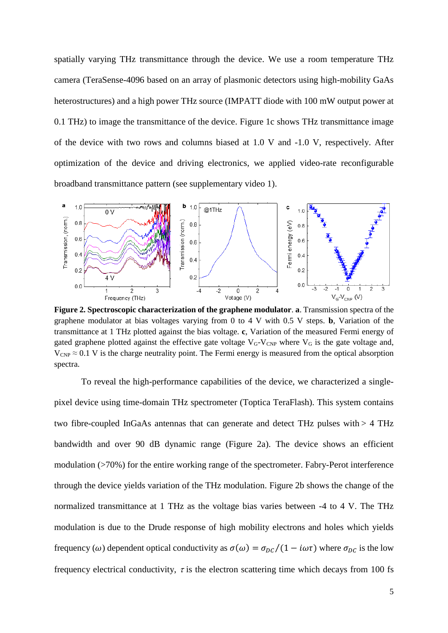spatially varying THz transmittance through the device. We use a room temperature THz camera (TeraSense-4096 based on an array of plasmonic detectors using high-mobility GaAs heterostructures) and a high power THz source (IMPATT diode with 100 mW output power at 0.1 THz) to image the transmittance of the device. Figure 1c shows THz transmittance image of the device with two rows and columns biased at 1.0 V and -1.0 V, respectively. After optimization of the device and driving electronics, we applied video-rate reconfigurable broadband transmittance pattern (see supplementary video 1).



**Figure 2. Spectroscopic characterization of the graphene modulator**. **a**. Transmission spectra of the graphene modulator at bias voltages varying from 0 to 4 V with 0.5 V steps. **b**, Variation of the transmittance at 1 THz plotted against the bias voltage. **c**, Variation of the measured Fermi energy of gated graphene plotted against the effective gate voltage  $V_{G}$ - $V_{CNP}$  where  $V_{G}$  is the gate voltage and,  $V_{CNP} \approx 0.1$  V is the charge neutrality point. The Fermi energy is measured from the optical absorption spectra.

To reveal the high-performance capabilities of the device, we characterized a singlepixel device using time-domain THz spectrometer (Toptica TeraFlash). This system contains two fibre-coupled InGaAs antennas that can generate and detect THz pulses with > 4 THz bandwidth and over 90 dB dynamic range (Figure 2a). The device shows an efficient modulation (>70%) for the entire working range of the spectrometer. Fabry-Perot interference through the device yields variation of the THz modulation. Figure 2b shows the change of the normalized transmittance at 1 THz as the voltage bias varies between -4 to 4 V. The THz modulation is due to the Drude response of high mobility electrons and holes which yields frequency ( $\omega$ ) dependent optical conductivity as  $\sigma(\omega) = \sigma_{DC}/(1 - i\omega\tau)$  where  $\sigma_{DC}$  is the low frequency electrical conductivity,  $\tau$  is the electron scattering time which decays from 100 fs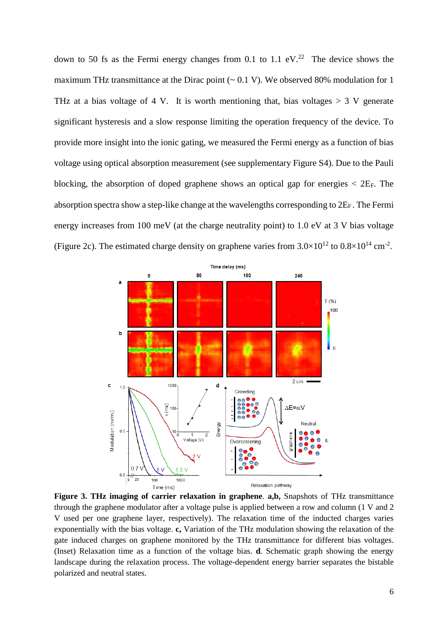down to 50 fs as the Fermi energy changes from 0.1 to 1.1  $eV<sup>22</sup>$ . The device shows the maximum THz transmittance at the Dirac point  $(-0.1 \text{ V})$ . We observed 80% modulation for 1 THz at a bias voltage of 4 V. It is worth mentioning that, bias voltages  $> 3$  V generate significant hysteresis and a slow response limiting the operation frequency of the device. To provide more insight into the ionic gating, we measured the Fermi energy as a function of bias voltage using optical absorption measurement (see supplementary Figure S4). Due to the Pauli blocking, the absorption of doped graphene shows an optical gap for energies  $\langle$  2E<sub>F</sub>. The absorption spectra show a step-like change at the wavelengths corresponding to  $2E_F$ . The Fermi energy increases from 100 meV (at the charge neutrality point) to 1.0 eV at 3 V bias voltage (Figure 2c). The estimated charge density on graphene varies from  $3.0 \times 10^{12}$  to  $0.8 \times 10^{14}$  cm<sup>-2</sup>.



**Figure 3. THz imaging of carrier relaxation in graphene**. **a,b,** Snapshots of THz transmittance through the graphene modulator after a voltage pulse is applied between a row and column (1 V and 2 V used per one graphene layer, respectively). The relaxation time of the inducted charges varies exponentially with the bias voltage. **c,** Variation of the THz modulation showing the relaxation of the gate induced charges on graphene monitored by the THz transmittance for different bias voltages. (Inset) Relaxation time as a function of the voltage bias. **d**. Schematic graph showing the energy landscape during the relaxation process. The voltage-dependent energy barrier separates the bistable polarized and neutral states.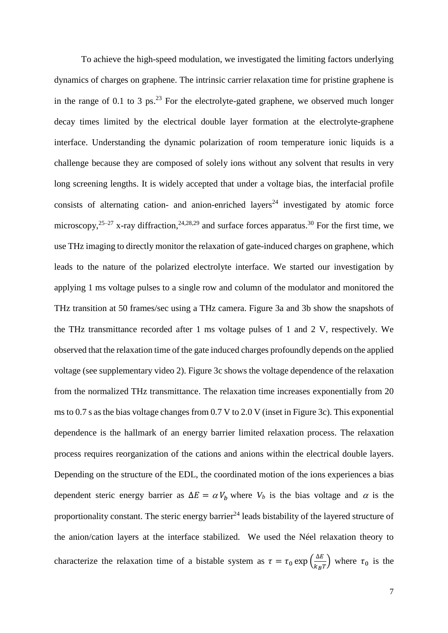To achieve the high-speed modulation, we investigated the limiting factors underlying dynamics of charges on graphene. The intrinsic carrier relaxation time for pristine graphene is in the range of 0.1 to 3 ps.<sup>23</sup> For the electrolyte-gated graphene, we observed much longer decay times limited by the electrical double layer formation at the electrolyte-graphene interface. Understanding the dynamic polarization of room temperature ionic liquids is a challenge because they are composed of solely ions without any solvent that results in very long screening lengths. It is widely accepted that under a voltage bias, the interfacial profile consists of alternating cation- and anion-enriched layers<sup>24</sup> investigated by atomic force microscopy,  $2^{5-27}$  x-ray diffraction,  $2^{4,28,29}$  and surface forces apparatus.  $30$  For the first time, we use THz imaging to directly monitor the relaxation of gate-induced charges on graphene, which leads to the nature of the polarized electrolyte interface. We started our investigation by applying 1 ms voltage pulses to a single row and column of the modulator and monitored the THz transition at 50 frames/sec using a THz camera. Figure 3a and 3b show the snapshots of the THz transmittance recorded after 1 ms voltage pulses of 1 and 2 V, respectively. We observed that the relaxation time of the gate induced charges profoundly depends on the applied voltage (see supplementary video 2). Figure 3c shows the voltage dependence of the relaxation from the normalized THz transmittance. The relaxation time increases exponentially from 20 ms to 0.7 s as the bias voltage changes from 0.7 V to 2.0 V (inset in Figure 3c). This exponential dependence is the hallmark of an energy barrier limited relaxation process. The relaxation process requires reorganization of the cations and anions within the electrical double layers. Depending on the structure of the EDL, the coordinated motion of the ions experiences a bias dependent steric energy barrier as  $\Delta E = \alpha V_b$  where  $V_b$  is the bias voltage and  $\alpha$  is the proportionality constant. The steric energy barrier<sup>24</sup> leads bistability of the layered structure of the anion/cation layers at the interface stabilized. We used the Néel relaxation theory to characterize the relaxation time of a bistable system as  $\tau = \tau_0 \exp\left(\frac{\Delta E}{k_B T}\right)$  $\frac{\Delta E}{k_B T}$ ) where  $\tau_0$  is the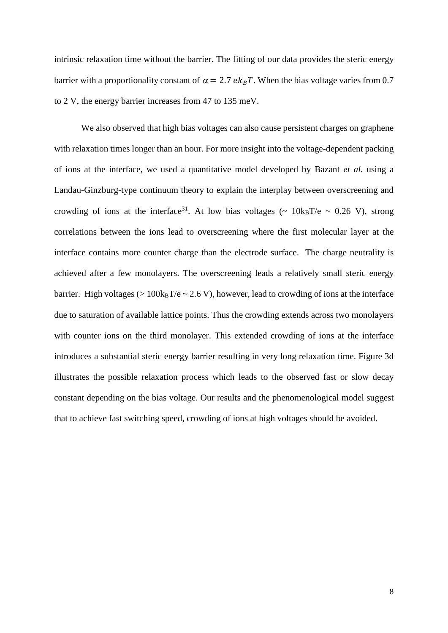intrinsic relaxation time without the barrier. The fitting of our data provides the steric energy barrier with a proportionality constant of  $\alpha = 2.7 e k_B T$ . When the bias voltage varies from 0.7 to 2 V, the energy barrier increases from 47 to 135 meV.

We also observed that high bias voltages can also cause persistent charges on graphene with relaxation times longer than an hour. For more insight into the voltage-dependent packing of ions at the interface, we used a quantitative model developed by Bazant *et al.* using a Landau-Ginzburg-type continuum theory to explain the interplay between overscreening and crowding of ions at the interface<sup>31</sup>. At low bias voltages ( $\sim 10 \text{kgT/e} \sim 0.26 \text{ V}$ ), strong correlations between the ions lead to overscreening where the first molecular layer at the interface contains more counter charge than the electrode surface. The charge neutrality is achieved after a few monolayers. The overscreening leads a relatively small steric energy barrier. High voltages ( $> 100 \text{kgT/e} \sim 2.6 \text{ V}$ ), however, lead to crowding of ions at the interface due to saturation of available lattice points. Thus the crowding extends across two monolayers with counter ions on the third monolayer. This extended crowding of ions at the interface introduces a substantial steric energy barrier resulting in very long relaxation time. Figure 3d illustrates the possible relaxation process which leads to the observed fast or slow decay constant depending on the bias voltage. Our results and the phenomenological model suggest that to achieve fast switching speed, crowding of ions at high voltages should be avoided.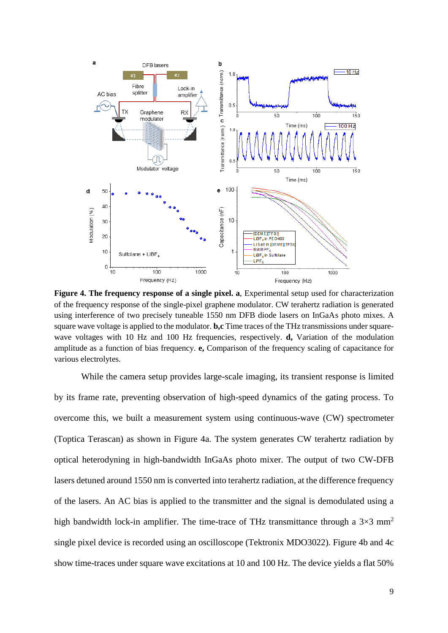

**Figure 4. The frequency response of a single pixel. a**, Experimental setup used for characterization of the frequency response of the single-pixel graphene modulator. CW terahertz radiation is generated using interference of two precisely tuneable 1550 nm DFB diode lasers on InGaAs photo mixes. A square wave voltage is applied to the modulator. **b,c** Time traces of the THz transmissions under squarewave voltages with 10 Hz and 100 Hz frequencies, respectively. **d,** Variation of the modulation amplitude as a function of bias frequency. **e,** Comparison of the frequency scaling of capacitance for various electrolytes.

While the camera setup provides large-scale imaging, its transient response is limited by its frame rate, preventing observation of high-speed dynamics of the gating process. To overcome this, we built a measurement system using continuous-wave (CW) spectrometer (Toptica Terascan) as shown in Figure 4a. The system generates CW terahertz radiation by optical heterodyning in high-bandwidth InGaAs photo mixer. The output of two CW-DFB lasers detuned around 1550 nm is converted into terahertz radiation, at the difference frequency of the lasers. An AC bias is applied to the transmitter and the signal is demodulated using a high bandwidth lock-in amplifier. The time-trace of THz transmittance through a  $3\times3$  mm<sup>2</sup> single pixel device is recorded using an oscilloscope (Tektronix MDO3022). Figure 4b and 4c show time-traces under square wave excitations at 10 and 100 Hz. The device yields a flat 50%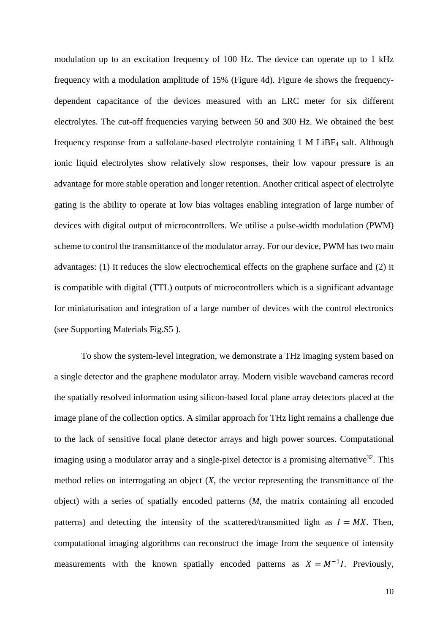modulation up to an excitation frequency of 100 Hz. The device can operate up to 1 kHz frequency with a modulation amplitude of 15% (Figure 4d). Figure 4e shows the frequencydependent capacitance of the devices measured with an LRC meter for six different electrolytes. The cut-off frequencies varying between 50 and 300 Hz. We obtained the best frequency response from a sulfolane-based electrolyte containing 1 M LiBF<sup>4</sup> salt. Although ionic liquid electrolytes show relatively slow responses, their low vapour pressure is an advantage for more stable operation and longer retention. Another critical aspect of electrolyte gating is the ability to operate at low bias voltages enabling integration of large number of devices with digital output of microcontrollers. We utilise a pulse-width modulation (PWM) scheme to control the transmittance of the modulator array. For our device, PWM has two main advantages: (1) It reduces the slow electrochemical effects on the graphene surface and (2) it is compatible with digital (TTL) outputs of microcontrollers which is a significant advantage for miniaturisation and integration of a large number of devices with the control electronics (see Supporting Materials Fig.S5 ).

To show the system-level integration, we demonstrate a THz imaging system based on a single detector and the graphene modulator array. Modern visible waveband cameras record the spatially resolved information using silicon-based focal plane array detectors placed at the image plane of the collection optics. A similar approach for THz light remains a challenge due to the lack of sensitive focal plane detector arrays and high power sources. Computational imaging using a modulator array and a single-pixel detector is a promising alternative<sup>32</sup>. This method relies on interrogating an object (*X*, the vector representing the transmittance of the object) with a series of spatially encoded patterns (*M,* the matrix containing all encoded patterns) and detecting the intensity of the scattered/transmitted light as  $I = MX$ . Then, computational imaging algorithms can reconstruct the image from the sequence of intensity measurements with the known spatially encoded patterns as  $X = M^{-1}I$ . Previously,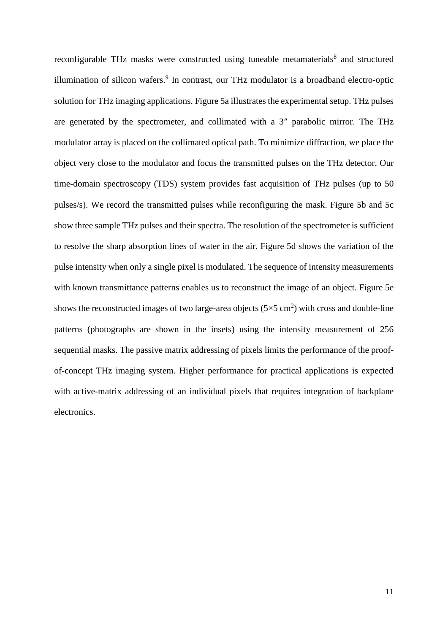reconfigurable THz masks were constructed using tuneable metamaterials<sup>8</sup> and structured illumination of silicon wafers.<sup>9</sup> In contrast, our THz modulator is a broadband electro-optic solution for THz imaging applications. Figure 5a illustrates the experimental setup. THz pulses are generated by the spectrometer, and collimated with a 3″ parabolic mirror. The THz modulator array is placed on the collimated optical path. To minimize diffraction, we place the object very close to the modulator and focus the transmitted pulses on the THz detector. Our time-domain spectroscopy (TDS) system provides fast acquisition of THz pulses (up to 50 pulses/s). We record the transmitted pulses while reconfiguring the mask. Figure 5b and 5c show three sample THz pulses and their spectra. The resolution of the spectrometer is sufficient to resolve the sharp absorption lines of water in the air. Figure 5d shows the variation of the pulse intensity when only a single pixel is modulated. The sequence of intensity measurements with known transmittance patterns enables us to reconstruct the image of an object. Figure 5e shows the reconstructed images of two large-area objects  $(5 \times 5 \text{ cm}^2)$  with cross and double-line patterns (photographs are shown in the insets) using the intensity measurement of 256 sequential masks. The passive matrix addressing of pixels limits the performance of the proofof-concept THz imaging system. Higher performance for practical applications is expected with active-matrix addressing of an individual pixels that requires integration of backplane electronics.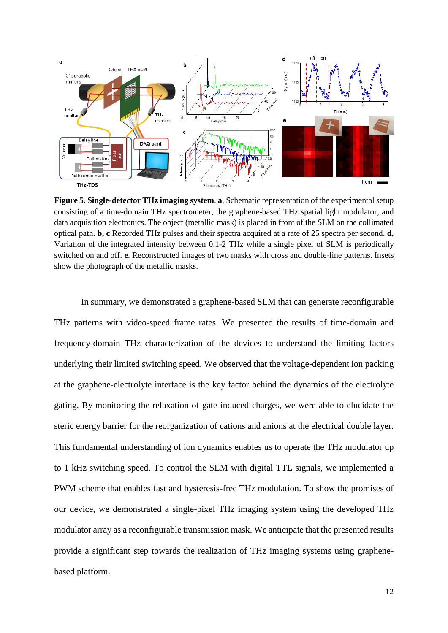

**Figure 5. Single-detector THz imaging system**. **a**, Schematic representation of the experimental setup consisting of a time-domain THz spectrometer, the graphene-based THz spatial light modulator, and data acquisition electronics. The object (metallic mask) is placed in front of the SLM on the collimated optical path. **b, c** Recorded THz pulses and their spectra acquired at a rate of 25 spectra per second. **d**, Variation of the integrated intensity between 0.1-2 THz while a single pixel of SLM is periodically switched on and off. **e**. Reconstructed images of two masks with cross and double-line patterns. Insets show the photograph of the metallic masks.

In summary, we demonstrated a graphene-based SLM that can generate reconfigurable THz patterns with video-speed frame rates. We presented the results of time-domain and frequency-domain THz characterization of the devices to understand the limiting factors underlying their limited switching speed. We observed that the voltage-dependent ion packing at the graphene-electrolyte interface is the key factor behind the dynamics of the electrolyte gating. By monitoring the relaxation of gate-induced charges, we were able to elucidate the steric energy barrier for the reorganization of cations and anions at the electrical double layer. This fundamental understanding of ion dynamics enables us to operate the THz modulator up to 1 kHz switching speed. To control the SLM with digital TTL signals, we implemented a PWM scheme that enables fast and hysteresis-free THz modulation. To show the promises of our device, we demonstrated a single-pixel THz imaging system using the developed THz modulator array as a reconfigurable transmission mask. We anticipate that the presented results provide a significant step towards the realization of THz imaging systems using graphenebased platform.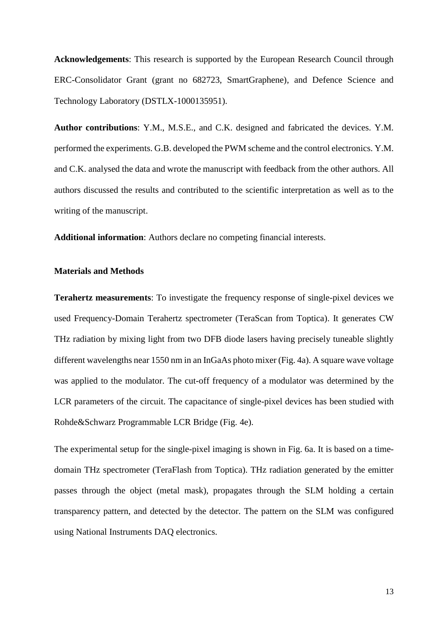**Acknowledgements**: This research is supported by the European Research Council through ERC-Consolidator Grant (grant no 682723, SmartGraphene), and Defence Science and Technology Laboratory (DSTLX-1000135951).

**Author contributions**: Y.M., M.S.E., and C.K. designed and fabricated the devices. Y.M. performed the experiments. G.B. developed the PWM scheme and the control electronics. Y.M. and C.K. analysed the data and wrote the manuscript with feedback from the other authors. All authors discussed the results and contributed to the scientific interpretation as well as to the writing of the manuscript.

**Additional information**: Authors declare no competing financial interests.

## **Materials and Methods**

**Terahertz measurements**: To investigate the frequency response of single-pixel devices we used Frequency-Domain Terahertz spectrometer (TeraScan from Toptica). It generates CW THz radiation by mixing light from two DFB diode lasers having precisely tuneable slightly different wavelengths near 1550 nm in an InGaAs photo mixer (Fig. 4a). A square wave voltage was applied to the modulator. The cut-off frequency of a modulator was determined by the LCR parameters of the circuit. The capacitance of single-pixel devices has been studied with Rohde&Schwarz Programmable LCR Bridge (Fig. 4e).

The experimental setup for the single-pixel imaging is shown in Fig. 6a. It is based on a timedomain THz spectrometer (TeraFlash from Toptica). THz radiation generated by the emitter passes through the object (metal mask), propagates through the SLM holding a certain transparency pattern, and detected by the detector. The pattern on the SLM was configured using National Instruments DAQ electronics.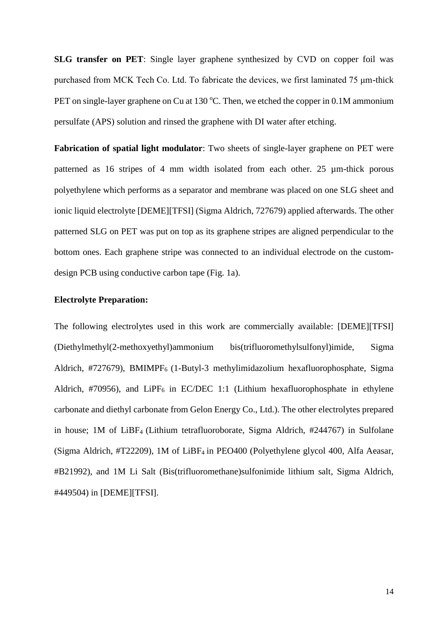**SLG transfer on PET**: Single layer graphene synthesized by CVD on copper foil was purchased from MCK Tech Co. Ltd. To fabricate the devices, we first laminated 75 μm-thick PET on single-layer graphene on Cu at  $130^{\circ}$ C. Then, we etched the copper in 0.1M ammonium persulfate (APS) solution and rinsed the graphene with DI water after etching.

**Fabrication of spatial light modulator**: Two sheets of single-layer graphene on PET were patterned as 16 stripes of 4 mm width isolated from each other. 25 µm-thick porous polyethylene which performs as a separator and membrane was placed on one SLG sheet and ionic liquid electrolyte [DEME][TFSI] (Sigma Aldrich, 727679) applied afterwards. The other patterned SLG on PET was put on top as its graphene stripes are aligned perpendicular to the bottom ones. Each graphene stripe was connected to an individual electrode on the customdesign PCB using conductive carbon tape (Fig. 1a).

## **Electrolyte Preparation:**

The following electrolytes used in this work are commercially available: [DEME][TFSI] (Diethylmethyl(2-methoxyethyl)ammonium bis(trifluoromethylsulfonyl)imide, Sigma Aldrich, #727679), BMIMPF<sub>6</sub> (1-Butyl-3 methylimidazolium hexafluorophosphate, Sigma Aldrich, #70956), and LiPF<sub>6</sub> in EC/DEC 1:1 (Lithium hexafluorophosphate in ethylene carbonate and diethyl carbonate from Gelon Energy Co., Ltd.). The other electrolytes prepared in house; 1M of LiBF4 (Lithium tetrafluoroborate, Sigma Aldrich, #244767) in Sulfolane (Sigma Aldrich, #T22209), 1M of LiBF4 in PEO400 (Polyethylene glycol 400, Alfa Aeasar, #B21992), and 1M Li Salt (Bis(trifluoromethane)sulfonimide lithium salt, Sigma Aldrich, #449504) in [DEME][TFSI].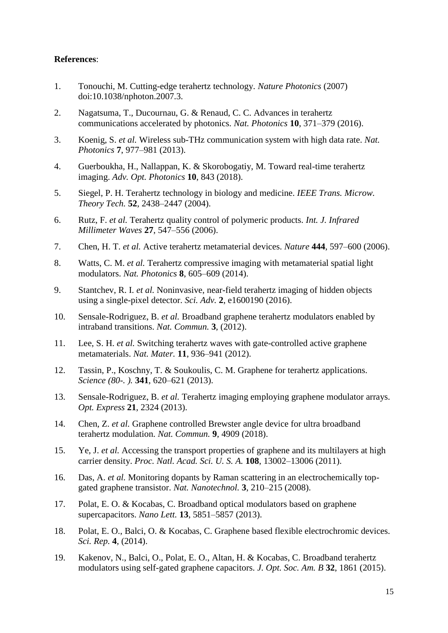## **References**:

- 1. Tonouchi, M. Cutting-edge terahertz technology. *Nature Photonics* (2007) doi:10.1038/nphoton.2007.3.
- 2. Nagatsuma, T., Ducournau, G. & Renaud, C. C. Advances in terahertz communications accelerated by photonics. *Nat. Photonics* **10**, 371–379 (2016).
- 3. Koenig, S. *et al.* Wireless sub-THz communication system with high data rate. *Nat. Photonics* **7**, 977–981 (2013).
- 4. Guerboukha, H., Nallappan, K. & Skorobogatiy, M. Toward real-time terahertz imaging. *Adv. Opt. Photonics* **10**, 843 (2018).
- 5. Siegel, P. H. Terahertz technology in biology and medicine. *IEEE Trans. Microw. Theory Tech.* **52**, 2438–2447 (2004).
- 6. Rutz, F. *et al.* Terahertz quality control of polymeric products. *Int. J. Infrared Millimeter Waves* **27**, 547–556 (2006).
- 7. Chen, H. T. *et al.* Active terahertz metamaterial devices. *Nature* **444**, 597–600 (2006).
- 8. Watts, C. M. *et al.* Terahertz compressive imaging with metamaterial spatial light modulators. *Nat. Photonics* **8**, 605–609 (2014).
- 9. Stantchev, R. I. *et al.* Noninvasive, near-field terahertz imaging of hidden objects using a single-pixel detector. *Sci. Adv.* **2**, e1600190 (2016).
- 10. Sensale-Rodriguez, B. *et al.* Broadband graphene terahertz modulators enabled by intraband transitions. *Nat. Commun.* **3**, (2012).
- 11. Lee, S. H. *et al.* Switching terahertz waves with gate-controlled active graphene metamaterials. *Nat. Mater.* **11**, 936–941 (2012).
- 12. Tassin, P., Koschny, T. & Soukoulis, C. M. Graphene for terahertz applications. *Science (80-. ).* **341**, 620–621 (2013).
- 13. Sensale-Rodriguez, B. *et al.* Terahertz imaging employing graphene modulator arrays. *Opt. Express* **21**, 2324 (2013).
- 14. Chen, Z. *et al.* Graphene controlled Brewster angle device for ultra broadband terahertz modulation. *Nat. Commun.* **9**, 4909 (2018).
- 15. Ye, J. *et al.* Accessing the transport properties of graphene and its multilayers at high carrier density. *Proc. Natl. Acad. Sci. U. S. A.* **108**, 13002–13006 (2011).
- 16. Das, A. *et al.* Monitoring dopants by Raman scattering in an electrochemically topgated graphene transistor. *Nat. Nanotechnol.* **3**, 210–215 (2008).
- 17. Polat, E. O. & Kocabas, C. Broadband optical modulators based on graphene supercapacitors. *Nano Lett.* **13**, 5851–5857 (2013).
- 18. Polat, E. O., Balci, O. & Kocabas, C. Graphene based flexible electrochromic devices. *Sci. Rep.* **4**, (2014).
- 19. Kakenov, N., Balci, O., Polat, E. O., Altan, H. & Kocabas, C. Broadband terahertz modulators using self-gated graphene capacitors. *J. Opt. Soc. Am. B* **32**, 1861 (2015).